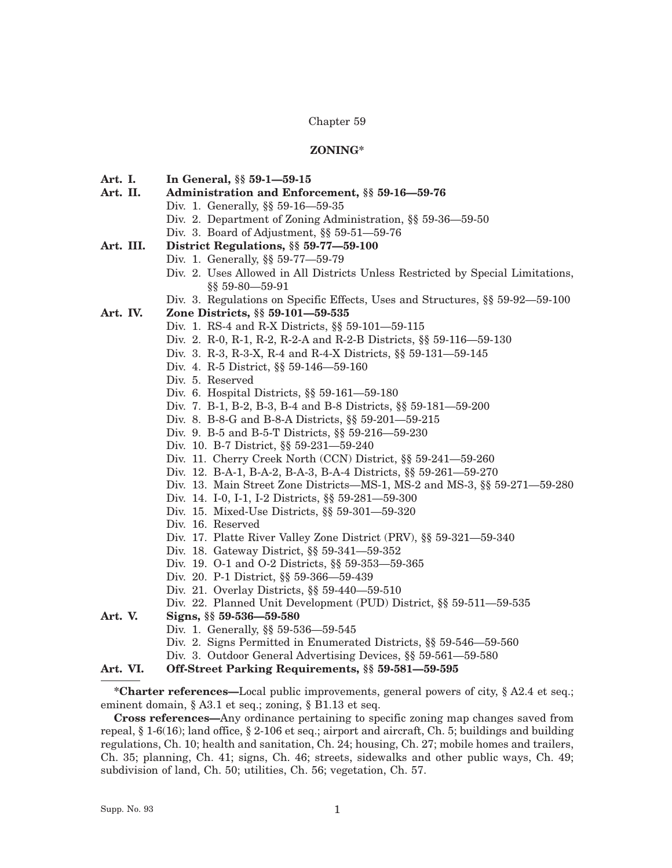#### Chapter 59

## **ZONING\***

- **Art. I. In General, §§ 59-1—59-15**
- **Art. II. Administration and Enforcement, §§ 59-16—59-76**
	- Div. 1. Generally, §§ 59-16—59-35
		- Div. 2. Department of Zoning Administration, §§ 59-36—59-50
	- Div. 3. Board of Adjustment, §§ 59-51—59-76

#### **Art. III. District Regulations, §§ 59-77—59-100**

- Div. 1. Generally, §§ 59-77—59-79
- Div. 2. Uses Allowed in All Districts Unless Restricted by Special Limitations, §§ 59-80—59-91
- Div. 3. Regulations on Specific Effects, Uses and Structures, §§ 59-92—59-100

### **Art. IV. Zone Districts, §§ 59-101—59-535**

- Div. 1. RS-4 and R-X Districts, §§ 59-101—59-115
- Div. 2. R-0, R-1, R-2, R-2-A and R-2-B Districts, §§ 59-116—59-130
- Div. 3. R-3, R-3-X, R-4 and R-4-X Districts, §§ 59-131—59-145
- Div. 4. R-5 District, §§ 59-146—59-160
- Div. 5. Reserved
- Div. 6. Hospital Districts, §§ 59-161—59-180
- Div. 7. B-1, B-2, B-3, B-4 and B-8 Districts, §§ 59-181—59-200
- Div. 8. B-8-G and B-8-A Districts, §§ 59-201—59-215
- Div. 9. B-5 and B-5-T Districts, §§ 59-216—59-230
- Div. 10. B-7 District, §§ 59-231—59-240
- Div. 11. Cherry Creek North (CCN) District, §§ 59-241—59-260
- Div. 12. B-A-1, B-A-2, B-A-3, B-A-4 Districts, §§ 59-261—59-270
- Div. 13. Main Street Zone Districts—MS-1, MS-2 and MS-3, §§ 59-271—59-280
- Div. 14. I-0, I-1, I-2 Districts, §§ 59-281—59-300
- Div. 15. Mixed-Use Districts, §§ 59-301—59-320
- Div. 16. Reserved
- Div. 17. Platte River Valley Zone District (PRV), §§ 59-321—59-340
- Div. 18. Gateway District, §§ 59-341—59-352
- Div. 19. O-1 and O-2 Districts, §§ 59-353—59-365
- Div. 20. P-1 District, §§ 59-366—59-439
- Div. 21. Overlay Districts, §§ 59-440—59-510
- Div. 22. Planned Unit Development (PUD) District, §§ 59-511—59-535
- **Art. V. Signs, §§ 59-536—59-580**
	- Div. 1. Generally, §§ 59-536—59-545
	- Div. 2. Signs Permitted in Enumerated Districts, §§ 59-546—59-560
	- Div. 3. Outdoor General Advertising Devices, §§ 59-561—59-580

# **Art. VI. Off-Street Parking Requirements, §§ 59-581—59-595**

**\*Charter references—**Local public improvements, general powers of city, § A2.4 et seq.; eminent domain, § A3.1 et seq.; zoning, § B1.13 et seq.

**Cross references—**Any ordinance pertaining to specific zoning map changes saved from repeal,  $\S 1-6(16)$ ; land office,  $\S 2-106$  et seq.; airport and aircraft, Ch. 5; buildings and building regulations, Ch. 10; health and sanitation, Ch. 24; housing, Ch. 27; mobile homes and trailers, Ch. 35; planning, Ch. 41; signs, Ch. 46; streets, sidewalks and other public ways, Ch. 49; subdivision of land, Ch. 50; utilities, Ch. 56; vegetation, Ch. 57.